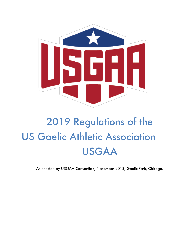

# 2019 Regulations of the US Gaelic Athletic Association USGAA

As enacted by USGAA Convention, November 2018, Gaelic Park, Chicago.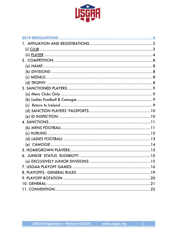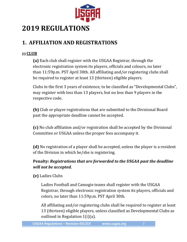

## **2019 REGULATIONS**

## **1. AFFILIATION AND REGISTRATIONS**

#### **(i) CLUB**

**(a)** Each club shall register with the USGAA Registrar, through the electronic registration system its players, officials and colours, no later than  $11:59p.m.$  PST April 30th. All affiliating and/or registering clubs shall be required to register at least 13 (thirteen) eligible players.

Clubs in the first 3 years of existence, to be classified as "Developmental Clubs", may register with less than 13 players, but no less than 9 players in the respective code.

**(b)** Club or player registrations that are submitted to the Divisional Board past the appropriate deadline cannot be accepted.

**(c)** No club affiliation and/or registration shall be accepted by the Divisional Committee or USGAA unless the proper fees accompany it.

**(d)** No registration of a player shall be accepted, unless the player is a resident of the Division in which he/she is registering.

#### **Penalty: Registrations that are forwarded to the USGAA past the deadline** *will not be accepted.*

**(e)** Ladies Clubs

Ladies Football and Camogie teams shall register with the USGAA Registrar, through electronic registration system its players, officials and colors, no later than 11:59p.m. PST April 30th.

All affiliating and/or registering clubs shall be required to register at least 13 (thirteen) eligible players, unless classified as Developmental Clubs as outlined in Regulation  $1(i)(a)$ .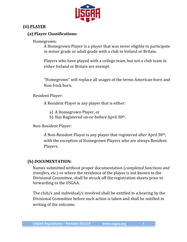

#### **(ii) PLAYER**

#### **(a) Player Classifications:**

Homegrown:

A Homegrown Player is a player that was never eligible to participate in minor grade or adult grade with a club in Ireland or Britain.

Players who have played with a college team, but not a club team in either Ireland or Britain are exempt.

"Homegrown" will replace all usages of the terms American-born and Non-Irish born.

Resident Player:

A Resident Player is any player that is either:

- a) A Homegrown Player, or
- b) Has Registered on-or-before April 30<sup>th</sup>.

Non-Resident Player:

A Non-Resident Player is any player that registered after April  $30<sup>th</sup>$ , with the exception of Homegrown Players who are always Resident Players.

#### **(b) DOCUMENTATION:**

Names submitted without proper documentation (*completed Sanctions and transfers, etc.*) or where the residence of the player is not known to the Divisional Committee, shall be struck off the registration sheets prior to forwarding to the USGAA.

The club/s and individual/s involved shall be entitled to a hearing by the Divisional Committee before such action is taken and shall be notified in writing of the outcome.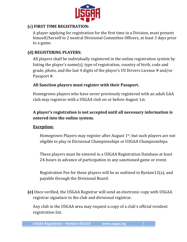

#### **(c) FIRST TIME REGISTRATION:**

A player applying for registration for the first time in a Division, must present himself/herself to 2 neutral Divisional Committee Officers, at least 3 days prior to a game.

#### **(d) REGISTERING PLAYERS:**

All players shall be individually registered in the online registration system by listing the player's name(s), type of registration, country of birth, code and grade, photo, and the last 4 digits of the player's US Drivers License # and/or Passport #.

#### All Sanction players must register with their Passport.

Homegrown players who have never previously registered with an adult GAA club may registrar with a USGAA club on or before August 1st.

#### A player's registration is not accepted until all necessary information is **entered into the online system.**

#### **Exception:**

Homegrown Players may register after August  $1<sup>st</sup>$ , but such players are not eligible to play in Divisional Championships or USGAA Championships.

These players must be entered in a USGAA Registration Database at least 24-hours in advance of participation in any sanctioned game or event.

Registration Fee for these players will be as outlined in Byelaw12(a), and payable through the Divisional Board.

**(e)** Once verified, the USGAA Registrar will send an electronic copy with USGAA registrar signature to the club and divisional registrar.

Any club in the USGAA area may request a copy of a club's official resident registration list.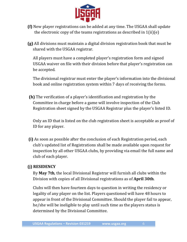

- **(f)** New player registrations can be added at any time. The USGAA shall update the electronic copy of the teams registrations as described in  $1(ii)(e)$
- **(g)** All divisions must maintain a digital division registration book that must be shared with the USGAA registrar.

All players must have a completed player's registration form and signed USGAA waiver on file with their division before that player's registration can be accepted.

The divisional registrar must enter the player's information into the divisional book and online registration system within 7 days of receiving the forms.

**(h)** The verification of a player's identification and registration by the Committee in charge before a game will involve inspection of the Club Registration sheet signed by the USGAA Registrar plus the player's listed ID.

Only an ID that is listed on the club registration sheet is acceptable as proof of ID for any player.

**(i)** As soon as possible after the conclusion of each Registration period, each club's updated list of Registrations shall be made available upon request for inspection by all other USGAA clubs, by providing via email the full name and club of each player.

#### **(j) RESIDENCY**

By **May 7th**, the local Divisional Registrar will furnish all clubs within the Division with copies of all Divisional registrations as of **April 30th**.

Clubs will then have fourteen days to question in writing the residency or legality of any player on the list. Players questioned will have 48 hours to appear in front of the Divisional Committee. Should the player fail to appear, he/she will be ineligible to play until such time as the players status is determined by the Divisional Committee.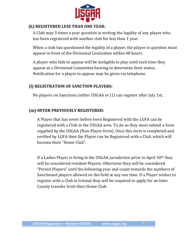

#### **(k) REGISTERED LESS THAN ONE YEAR:**

A Club may 3 times a year question in writing the legality of any player who has been registered with another club for less than 1 year.

When a club has questioned the legality of a player, the player in question must appear in front of the Divisional Committee within 48 hours.

A player who fails to appear will be ineligible to play until such time they appear at a Divisional Committee hearing to determine their status. Notification for a player to appear may be given via telephone.

#### **(l) REGISTRATION OF SANCTION PLAYERS:**

No players on Sanctions (either USGAA or [1] can register after July 1st;

#### **(m) NEVER PREVIOUSLY REGISTERED:**

A Player that has never before been Registered with the LGFA can be registered with a Club in the USGAA area. To do so they must submit a form supplied by the USGAA (Non-Player form). Once this form is completed and verified by LGFA then the Player can be Registered with a Club, which will become their "Home Club".

If a Ladies Player is living in the USGAA jurisdiction prior to April  $30<sup>th</sup>$  they will be considered resident Players. Otherwise they will be considered "Permit Players" until the following year and count towards the numbers of Sanctioned players allowed on the field at any one time. If a Player wishes to register with a Club in Ireland they will be required to apply for an Inter County transfer from their Home Club.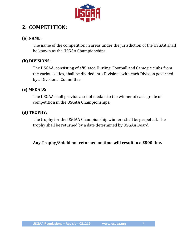

## 2. **COMPETITION:**

#### **(a) NAME:**

The name of the competition in areas under the jurisdiction of the USGAA shall be known as the USGAA Championships.

#### **(b) DIVISIONS:**

The USGAA, consisting of affiliated Hurling, Football and Camogie clubs from the various cities, shall be divided into Divisions with each Division governed by a Divisional Committee.

#### **(c) MEDALS:**

The USGAA shall provide a set of medals to the winner of each grade of competition in the USGAA Championships.

#### **(d) TROPHY:**

The trophy for the USGAA Championship winners shall be perpetual. The trophy shall be returned by a date determined by USGAA Board.

Any Trophy/Shield not returned on time will result in a \$500 fine.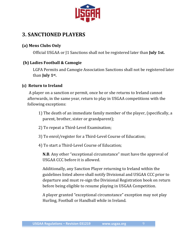

## **3. SANCTIONED PLAYERS**

#### **(a) Mens Clubs Only**

Official USGAA or J1 Sanctions shall not be registered later than **July 1st.** 

#### **(b) Ladies Football & Camogie**

LGFA Permits and Camogie Association Sanctions shall not be registered later than **July 1st.** 

#### **(c) Return to Ireland**

A player on a sanction or permit, once he or she returns to Ireland cannot afterwards, in the same year, return to play in USGAA competitions with the following exceptions:

- 1) The death of an immediate family member of the player, (specifically, a parent, brother, sister or grandparent);
- 2) To repeat a Third-Level Examination;
- 3) To enrol/register for a Third-Level Course of Education;
- 4) To start a Third-Level Course of Education;

**N.B.** Any other "exceptional circumstance" must have the approval of USGAA CCC before it is allowed.

Additionally, any Sanction Player returning to Ireland within the guidelines listed above shall notify Divisional and USGAA CCC prior to departure and must re-sign the Divisional Registration book on return before being eligible to resume playing in USGAA Competition.

A player granted "exceptional circumstance" exception may not play Hurling, Football or Handball while in Ireland.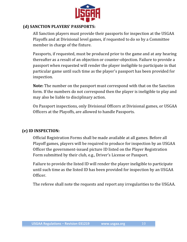

#### **(d) SANCTION PLAYERS' PASSPORTS:**

All Sanction players must provide their passports for inspection at the USGAA Playoffs and at Divisional level games, if requested to do so by a Committee member in charge of the fixture.

Passports, if requested, must be produced prior to the game and at any hearing thereafter as a result of an objection or counter-objection. Failure to provide a passport when requested will render the player ineligible to participate in that particular game until such time as the player's passport has been provided for inspection. 

**Note:** The number on the passport must correspond with that on the Sanction form. If the numbers do not correspond then the player is ineligible to play and may also be liable to disciplinary action.

On Passport inspections, only Divisional Officers at Divisional games, or USGAA Officers at the Playoffs, are allowed to handle Passports.

#### **(e) ID INSPECTION:**

Official Registration Forms shall be made available at all games. Before all Playoff games, players will be required to produce for inspection by an USGAA Officer the government-issued picture ID listed on the Player Registration Form submitted by their club, e.g., Driver's License or Passport.

Failure to provide the listed ID will render the player ineligible to participate until such time as the listed ID has been provided for inspection by an USGAA Officer. 

The referee shall note the requests and report any irregularities to the USGAA.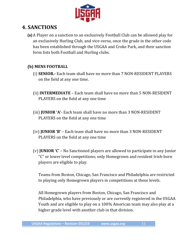

## **4. SANCTIONS**

**(a)** A Player on a sanction to an exclusively Football Club can be allowed play for an exclusively Hurling Club, and vice-versa, once the grade in the other code has been established through the USGAA and Croke Park, and their sanction form lists both Football and Hurling clubs.

#### **(b) MENS FOOTBALL**

- (i) **SENIOR.** Each team shall have no more than 7 NON-RESIDENT PLAYERS on the field at any one time.
- **(ii) INTERMEDIATE** Each team shall have no more than 5 NON-RESIDENT PLAYERS on the field at any one time
- (iii) **JUNIOR 'A'** Each team shall have no more than 3 NON-RESIDENT PLAYERS on the field at any one time
- (iv) **JUNIOR 'B'** Each team shall have no more than 3 NON-RESIDENT PLAYERS on the field at any one time
- (v) **JUNIOR 'C'** No Sanctioned players are allowed to participate in any Junior "C" or lower level competitions; only Homegrown and resident Irish-born players are eligible to play.

Teams from Boston, Chicago, San Francisco and Philadelphia are restricted to playing only Homegrown players in competitions at these levels.

All Homegrown players from Boston, Chicago, San Francisco and Philadelphia, who have previously or are currently registered in the USGAA Youth and are eligible to play on a 100% American team may also play at a higher grade level with another club in that division.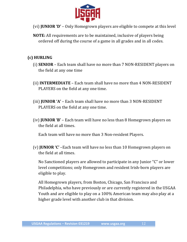

- (vi) **JUNIOR 'D'** Only Homegrown players are eligible to compete at this level
- **NOTE:** All requirements are to be maintained, inclusive of players being ordered off during the course of a game in all grades and in all codes.

#### **(c) HURLING**

- (i) **SENIOR** Each team shall have no more than 7 NON-RESIDENT players on the field at any one time
- **(ii) INTERMEDIATE** Each team shall have no more than 4 NON-RESIDENT PLAYERS on the field at any one time.
- **(iii) JUNIOR 'A'** Each team shall have no more than 3 NON-RESIDENT PLAYERS on the field at any one time.
- (iv) **JUNIOR 'B'** Each team will have no less than 8 Homegrown players on the field at all times.

Each team will have no more than 3 Non-resident Players.

(v) **JUNIOR 'C'** –Each team will have no less than 10 Homegrown players on the field at all times.

No Sanctioned players are allowed to participate in any Junior "C" or lower level competitions; only Homegrown and resident Irish-born players are eligible to play.

All Homegrown players, from Boston, Chicago, San Francisco and Philadelphia, who have previously or are currently registered in the USGAA Youth and are eligible to play on a 100% American team may also play at a higher grade level with another club in that division.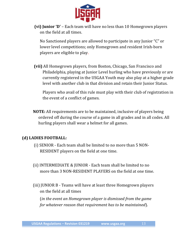

**(vi) Junior 'D'** – Each team will have no less than 10 Homegrown players on the field at all times.

No Sanctioned players are allowed to participate in any Junior "C" or lower level competitions; only Homegrown and resident Irish-born players are eligible to play.

**(vii)** All Homegrown players, from Boston, Chicago, San Francisco and Philadelphia, playing at Junior Level hurling who have previously or are currently registered in the USGAA Youth may also play at a higher grade level with another club in that division and retain their Junior Status.

Players who avail of this rule must play with their club of registration in the event of a conflict of games.

**NOTE:** All requirements are to be maintained, inclusive of players being ordered off during the course of a game in all grades and in all codes. All hurling players shall wear a helmet for all games.

#### **(d) LADIES FOOTBALL:**

- (i) SENIOR Each team shall be limited to no more than 5 NON-RESIDENT players on the field at one time.
- (ii) INTERMEDIATE  $&$  JUNIOR Each team shall be limited to no more than 3 NON-RESIDENT PLAYERS on the field at one time.
- (iii) JUNIOR B Teams will have at least three Homegrown players on the field at all times

(*in* the event an Homegrown player is dismissed from the game *for* whatever reason that requirement has to be maintained).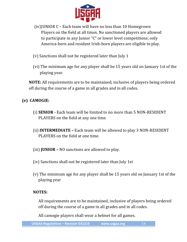

- (iv) JUNIOR  $C$  Each team will have no less than 10 Homegrown Players on the field at all times. No sanctioned players are allowed to participate in any Junior "C" or lower level competitions; only America-born and resident Irish-born players are eligible to play.
- (v) Sanctions shall not be registered later than July 1
- (vi) The minimum age for any player shall be 15 years old on January 1st of the playing year.

**NOTE:** All requirements are to be maintained, inclusive of players being ordered off during the course of a game in all grades and in all codes.

#### **(e) CAMOGIE:**

- (i) **SENIOR** Each team will be limited to no more than 5 NON-RESIDENT PLAYERS on the field at any one time
- **(ii) INTERMEDIATE** Each team will be allowed to play 3 NON-RESIDENT PLAYERS on the field at one time.
- (iii) **JUNIOR** NO sanctions are allowed to play.
- (iv) Sanctions shall not be registered later than July 1st
- (v) The minimum age for any player shall be 15 years old on January 1st of the playing year

#### **NOTES:**

All requirements are to be maintained, inclusive of players being ordered off during the course of a game in all grades and in all codes.

All camogie players shall wear a helmet for all games.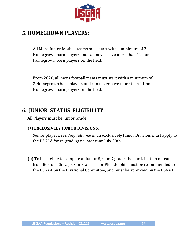

## **5. HOMEGROWN PLAYERS:**

All Mens Junior football teams must start with a minimum of 2 Homegrown born players and can never have more than 11 non-Homegrown born players on the field.

From 2020, all mens football teams must start with a minimum of 2 Homegrown born players and can never have more than 11 non-Homegrown born players on the field.

## **6. JUNIOR STATUS ELIGIBILITY:**

All Players must be Junior Grade.

### **(a) EXCLUSIVELY JUNIOR DIVISIONS:**

Senior players, *residing full time* in an exclusively Junior Division, must apply to the USGAA for re-grading no later than July 20th.

**(b)** To be eligible to compete at Junior B, C or D grade, the participation of teams from Boston, Chicago, San Francisco or Philadelphia must be recommended to the USGAA by the Divisional Committee, and must be approved by the USGAA.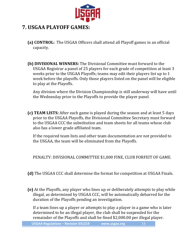

## **7. USGAA PLAYOFF GAMES:**

- **(a) CONTROL:** The USGAA Officers shall attend all Playoff games in an official capacity.
- **(b) DIVISIONAL WINNERS:** The Divisional Committee must forward to the USGAA Registrar a panel of 25 players for each grade of competition at least 3 weeks prior to the USGAA Playoffs; teams may edit their players list up to 1 week before the playoffs. Only those players listed on the panel will be eligible to play at the Playoffs.

Any division where the Division Championship is still underway will have until the Wednesday prior to the Playoffs to provide the player panel.

**(c) TEAM LISTS:** After each game is played during the season and at least 5 days prior to the USGAA Playoffs, the Divisional Committee Secretary must forward to the USGAA CCC the substitution and team sheets for all teams whose club also has a lower grade affiliated team.

If the required team lists and other team documentation are not provided to the USGAA, the team will be eliminated from the Playoffs.

PENALTY: DIVISIONAL COMMITTEE \$1,000 FINE, CLUB FORFEIT OF GAME.

- **(d)** The USGAA CCC shall determine the format for competition at USGAA Finals.
- **(e)** At the Playoffs, any player who lines up or deliberately attempts to play while illegal, as determined by USGAA CCC, will be automatically debarred for the duration of the Playoffs pending an investigation.

If a team lines up a player or attempts to play a player in a game who is later determined to be an illegal player, the club shall be suspended for the remainder of the Playoffs and shall be fined \$2,000.00 per illegal player.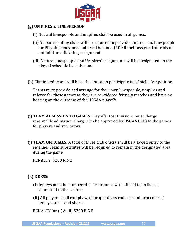

#### **(g) UMPIRES & LINESPERSON**

- (i) Neutral linespeople and umpires shall be used in all games.
- (ii) All participating clubs will be required to provide umpires and linespeople for Playoff games, and clubs will be fined \$100 if their assigned officials do not fulfil an officiating assignment.
- (iii) Neutral linespeople and Umpires' assignments will be designated on the playoff schedule by club name.
- **(h)** Eliminated teams will have the option to participate in a Shield Competition.

Teams must provide and arrange for their own linespeople, umpires and referee for these games as they are considered friendly matches and have no bearing on the outcome of the USGAA playoffs.

- **(i) TEAM ADMISSION TO GAMES:** Playoffs Host Divisions must charge reasonable admission charges (to be approved by USGAA CCC) to the games for players and spectators.
- **(j) TEAM OFFICIALS:** A total of three club officials will be allowed entry to the sideline. Team substitutes will be required to remain in the designated area during the game.

PENALTY: \$200 FINE

#### **(k) DRESS:**

- **(i)** Jerseys must be numbered in accordance with official team list, as submitted to the referee.
- **(ii)** All players shall comply with proper dress code, i.e. uniform color of Jerseys, socks and shorts.

PENALTY for  $(i)$  &  $(ii)$  \$200 FINE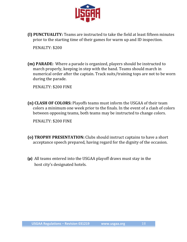

**(I) PUNCTUALITY:** Teams are instructed to take the field at least fifteen minutes prior to the starting time of their games for warm up and ID inspection.

PENALTY: \$200

**(m) PARADE:** Where a parade is organized, players should be instructed to march properly, keeping in step with the band. Teams should march in numerical order after the captain. Track suits/training tops are not to be worn during the parade.

PENALTY: \$200 FINE

**(n) CLASH OF COLORS:** Playoffs teams must inform the USGAA of their team colors a minimum one week prior to the finals. In the event of a clash of colors between opposing teams, both teams may be instructed to change colors.

PENALTY: \$200 FINE

- **(o) TROPHY PRESENTATION:** Clubs should instruct captains to have a short acceptance speech prepared, having regard for the dignity of the occasion.
- **(p)** All teams entered into the USGAA playoff draws must stay in the host city's designated hotels.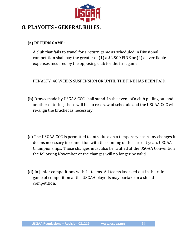

## **8. PLAYOFFS - GENERAL RULES.**

#### **(a) RETURN GAME:**

A club that fails to travel for a return game as scheduled in Divisional competition shall pay the greater of  $(1)$  a \$2,500 FINE or  $(2)$  all verifiable expenses incurred by the opposing club for the first game.

PENALTY: 48 WEEKS SUSPENSION OR UNTIL THE FINE HAS BEEN PAID.

- **(b)** Draws made by USGAA CCC shall stand. In the event of a club pulling out and another entering, there will be no re-draw of schedule and the USGAA CCC will re-align the bracket as necessary.
- **(c)** The USGAA CCC is permitted to introduce on a temporary basis any changes it deems necessary in connection with the running of the current years USGAA Championships. Those changes must also be ratified at the USGAA Convention the following November or the changes will no longer be valid.
- **(d)** In junior competitions with 4+ teams. All teams knocked out in their first game of competition at the USGAA playoffs may partake in a shield competition.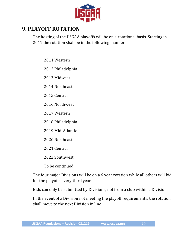

## **9. PLAYOFF ROTATION**

The hosting of the USGAA playoffs will be on a rotational basis. Starting in 2011 the rotation shall be in the following manner:

2011 Western

2012 Philadelphia

2013 Midwest

2014 Northeast

2015 Central

2016 Northwest

2017 Western

2018 Philadelphia

2019 Mid-Atlantic

2020 Northeast

2021 Central

2022 Southwest

To be continued

The four major Divisions will be on a 6 year rotation while all others will bid for the playoffs every third year.

Bids can only be submitted by Divisions, not from a club within a Division.

In the event of a Division not meeting the playoff requirements, the rotation shall move to the next Division in line.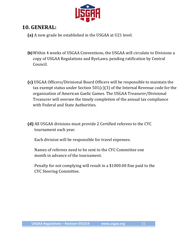

## **10. GENERAL:**

**(a)** A new grade be established in the USGAA at U21 level.

- **(b)** Within 4 weeks of USGAA Conventions, the USGAA will circulate to Divisions a copy of USGAA Regulations and ByeLaws, pending ratification by Central Council.
- **(c)** USGAA Officers/Divisional Board Officers will be responsible to maintain the tax exempt status under Section  $501(c)(3)$  of the Internal Revenue code for the organization of American Gaelic Games. The USGAA Treasurer/Divisional Treasurer will oversee the timely completion of the annual tax compliance with Federal and State Authorities.
- **(d)** All USGAA divisions must provide 2 Certified referees to the CYC tournament each year.

Each division will be responsible for travel expenses.

Names of referees need to be sent to the CYC Committee one month in advance of the tournament.

Penalty for not complying will result in a \$1000.00 fine paid to the CYC Steering Committee.